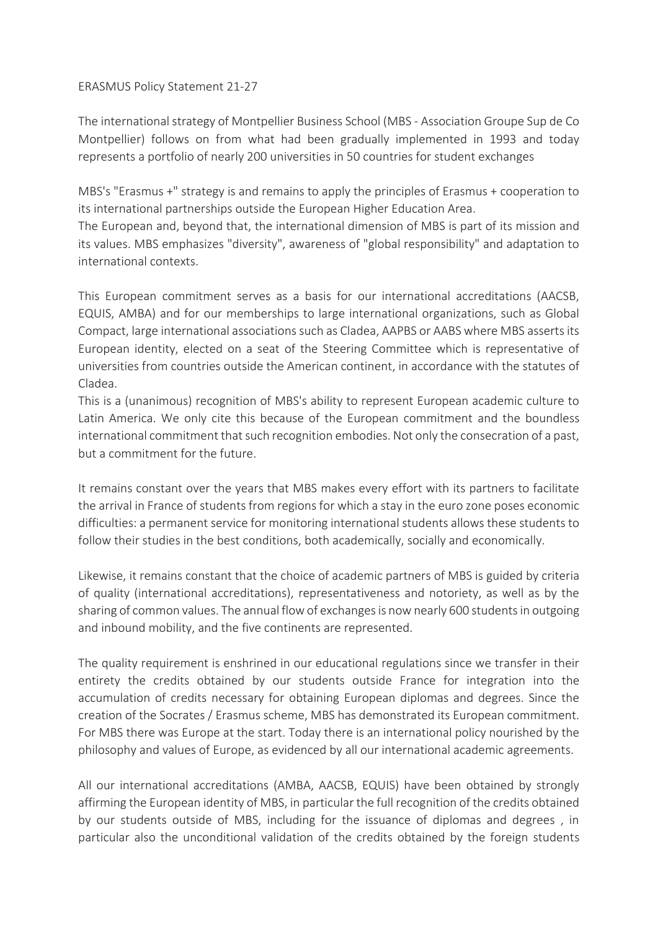## ERASMUS Policy Statement 21-27

The international strategy of Montpellier Business School (MBS - Association Groupe Sup de Co Montpellier) follows on from what had been gradually implemented in 1993 and today represents a portfolio of nearly 200 universities in 50 countries for student exchanges

MBS's "Erasmus +" strategy is and remains to apply the principles of Erasmus + cooperation to its international partnerships outside the European Higher Education Area.

The European and, beyond that, the international dimension of MBS is part of its mission and its values. MBS emphasizes "diversity", awareness of "global responsibility" and adaptation to international contexts.

This European commitment serves as a basis for our international accreditations (AACSB, EQUIS, AMBA) and for our memberships to large international organizations, such as Global Compact, large international associations such as Cladea, AAPBS or AABS where MBS asserts its European identity, elected on a seat of the Steering Committee which is representative of universities from countries outside the American continent, in accordance with the statutes of Cladea.

This is a (unanimous) recognition of MBS's ability to represent European academic culture to Latin America. We only cite this because of the European commitment and the boundless international commitment that such recognition embodies. Not only the consecration of a past, but a commitment for the future.

It remains constant over the years that MBS makes every effort with its partners to facilitate the arrival in France of students from regions for which a stay in the euro zone poses economic difficulties: a permanent service for monitoring international students allows these students to follow their studies in the best conditions, both academically, socially and economically.

Likewise, it remains constant that the choice of academic partners of MBS is guided by criteria of quality (international accreditations), representativeness and notoriety, as well as by the sharing of common values. The annual flow of exchanges is now nearly 600 students in outgoing and inbound mobility, and the five continents are represented.

The quality requirement is enshrined in our educational regulations since we transfer in their entirety the credits obtained by our students outside France for integration into the accumulation of credits necessary for obtaining European diplomas and degrees. Since the creation of the Socrates / Erasmus scheme, MBS has demonstrated its European commitment. For MBS there was Europe at the start. Today there is an international policy nourished by the philosophy and values of Europe, as evidenced by all our international academic agreements.

All our international accreditations (AMBA, AACSB, EQUIS) have been obtained by strongly affirming the European identity of MBS, in particular the full recognition of the credits obtained by our students outside of MBS, including for the issuance of diplomas and degrees , in particular also the unconditional validation of the credits obtained by the foreign students